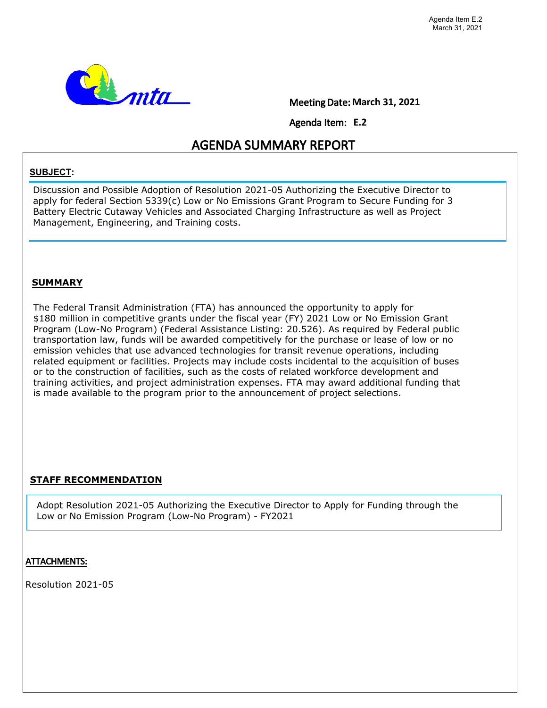

Meeting Date: **March 31, 2021**

Agenda Item: **E.2**

# AGENDA SUMMARY REPORT

#### **SUBJECT:**

Discussion and Possible Adoption of Resolution 2021-05 Authorizing the Executive Director to apply for federal Section 5339(c) Low or No Emissions Grant Program to Secure Funding for 3 Battery Electric Cutaway Vehicles and Associated Charging Infrastructure as well as Project Management, Engineering, and Training costs.

#### **SUMMARY**

The Federal Transit Administration (FTA) has announced the opportunity to apply for \$180 million in competitive grants under the fiscal year (FY) 2021 Low or No Emission Grant Program (Low-No Program) (Federal Assistance Listing: 20.526). As required by Federal public transportation law, funds will be awarded competitively for the purchase or lease of low or no emission vehicles that use advanced technologies for transit revenue operations, including related equipment or facilities. Projects may include costs incidental to the acquisition of buses or to the construction of facilities, such as the costs of related workforce development and training activities, and project administration expenses. FTA may award additional funding that is made available to the program prior to the announcement of project selections.

## **STAFF RECOMMENDATION**

Adopt Resolution 2021-05 Authorizing the Executive Director to Apply for Funding through the Low or No Emission Program (Low-No Program) - FY2021

## ATTACHMENTS:

Resolution 2021-05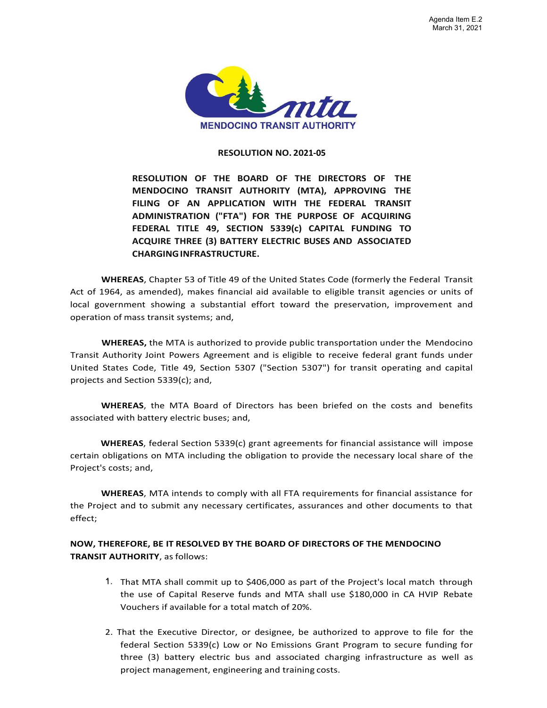

#### **RESOLUTION NO. 2021-05**

**RESOLUTION OF THE BOARD OF THE DIRECTORS OF THE MENDOCINO TRANSIT AUTHORITY (MTA), APPROVING THE FILING OF AN APPLICATION WITH THE FEDERAL TRANSIT ADMINISTRATION ("FTA") FOR THE PURPOSE OF ACQUIRING FEDERAL TITLE 49, SECTION 5339(c) CAPITAL FUNDING TO ACQUIRE THREE (3) BATTERY ELECTRIC BUSES AND ASSOCIATED CHARGINGINFRASTRUCTURE.**

**WHEREAS**, Chapter 53 of Title 49 of the United States Code (formerly the Federal Transit Act of 1964, as amended), makes financial aid available to eligible transit agencies or units of local government showing a substantial effort toward the preservation, improvement and operation of mass transit systems; and,

**WHEREAS,** the MTA is authorized to provide public transportation under the Mendocino Transit Authority Joint Powers Agreement and is eligible to receive federal grant funds under United States Code, Title 49, Section 5307 ("Section 5307") for transit operating and capital projects and Section 5339(c); and,

**WHEREAS**, the MTA Board of Directors has been briefed on the costs and benefits associated with battery electric buses; and,

**WHEREAS**, federal Section 5339(c) grant agreements for financial assistance will impose certain obligations on MTA including the obligation to provide the necessary local share of the Project's costs; and,

**WHEREAS**, MTA intends to comply with all FTA requirements for financial assistance for the Project and to submit any necessary certificates, assurances and other documents to that effect;

#### **NOW, THEREFORE, BE IT RESOLVED BY THE BOARD OF DIRECTORS OF THE MENDOCINO TRANSIT AUTHORITY**, as follows:

- That MTA shall commit up to \$406,000 as part of the Project's local match through the use of Capital Reserve funds and MTA shall use \$180,000 in CA HVIP Rebate Vouchers if available for a total match of 20%.
- 2. That the Executive Director, or designee, be authorized to approve to file for the federal Section 5339(c) Low or No Emissions Grant Program to secure funding for three (3) battery electric bus and associated charging infrastructure as well as project management, engineering and training costs.